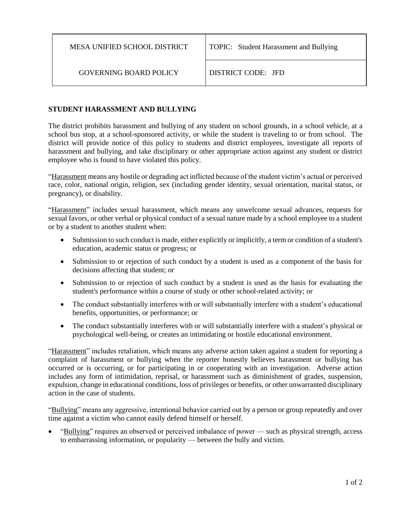GOVERNING BOARD POLICY DISTRICT CODE: JFD

# **STUDENT HARASSMENT AND BULLYING**

The district prohibits harassment and bullying of any student on school grounds, in a school vehicle, at a school bus stop, at a school-sponsored activity, or while the student is traveling to or from school. The district will provide notice of this policy to students and district employees, investigate all reports of harassment and bullying, and take disciplinary or other appropriate action against any student or district employee who is found to have violated this policy.

"Harassment means any hostile or degrading act inflicted because of the student victim's actual or perceived race, color, national origin, religion, sex (including gender identity, sexual orientation, marital status, or pregnancy), or disability.

"Harassment" includes sexual harassment, which means any unwelcome sexual advances, requests for sexual favors, or other verbal or physical conduct of a sexual nature made by a school employee to a student or by a student to another student when:

- Submission to such conduct is made, either explicitly or implicitly, a term or condition of a student's education, academic status or progress; or
- Submission to or rejection of such conduct by a student is used as a component of the basis for decisions affecting that student; or
- Submission to or rejection of such conduct by a student is used as the basis for evaluating the student's performance within a course of study or other school-related activity; or
- The conduct substantially interferes with or will substantially interfere with a student's educational benefits, opportunities, or performance; or
- The conduct substantially interferes with or will substantially interfere with a student's physical or psychological well-being, or creates an intimidating or hostile educational environment.

"Harassment" includes retaliation, which means any adverse action taken against a student for reporting a complaint of harassment or bullying when the reporter honestly believes harassment or bullying has occurred or is occurring, or for participating in or cooperating with an investigation. Adverse action includes any form of intimidation, reprisal, or harassment such as diminishment of grades, suspension, expulsion, change in educational conditions, loss of privileges or benefits, or other unwarranted disciplinary action in the case of students.

"Bullying" means any aggressive, intentional behavior carried out by a person or group repeatedly and over time against a victim who cannot easily defend himself or herself.

• "Bullying" requires an observed or perceived imbalance of power — such as physical strength, access to embarrassing information, or popularity — between the bully and victim.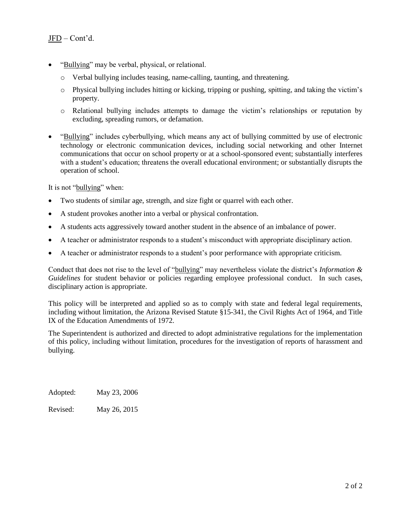- "Bullying" may be verbal, physical, or relational.
	- o Verbal bullying includes teasing, name-calling, taunting, and threatening.
	- $\circ$  Physical bullying includes hitting or kicking, tripping or pushing, spitting, and taking the victim's property.
	- o Relational bullying includes attempts to damage the victim's relationships or reputation by excluding, spreading rumors, or defamation.
- "Bullying" includes cyberbullying, which means any act of bullying committed by use of electronic technology or electronic communication devices, including social networking and other Internet communications that occur on school property or at a school-sponsored event; substantially interferes with a student's education; threatens the overall educational environment; or substantially disrupts the operation of school.

It is not "bullying" when:

- Two students of similar age, strength, and size fight or quarrel with each other.
- A student provokes another into a verbal or physical confrontation.
- A students acts aggressively toward another student in the absence of an imbalance of power.
- A teacher or administrator responds to a student's misconduct with appropriate disciplinary action.
- A teacher or administrator responds to a student's poor performance with appropriate criticism.

Conduct that does not rise to the level of "bullying" may nevertheless violate the district's *Information & Guidelines* for student behavior or policies regarding employee professional conduct. In such cases, disciplinary action is appropriate.

This policy will be interpreted and applied so as to comply with state and federal legal requirements, including without limitation, the Arizona Revised Statute §15-341, the Civil Rights Act of 1964, and Title IX of the Education Amendments of 1972.

The Superintendent is authorized and directed to adopt administrative regulations for the implementation of this policy, including without limitation, procedures for the investigation of reports of harassment and bullying.

Adopted: May 23, 2006

Revised: May 26, 2015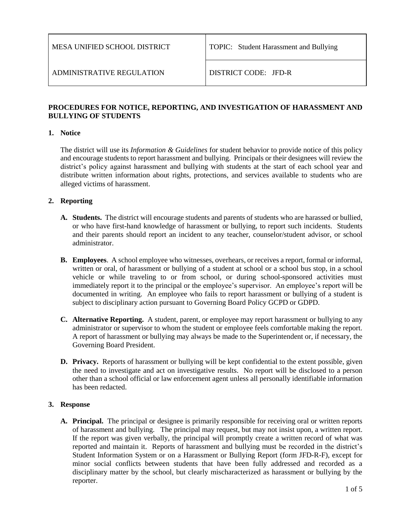# **PROCEDURES FOR NOTICE, REPORTING, AND INVESTIGATION OF HARASSMENT AND BULLYING OF STUDENTS**

## **1. Notice**

The district will use its *Information & Guidelines* for student behavior to provide notice of this policy and encourage students to report harassment and bullying. Principals or their designees will review the district's policy against harassment and bullying with students at the start of each school year and distribute written information about rights, protections, and services available to students who are alleged victims of harassment.

## **2. Reporting**

- **A. Students.** The district will encourage students and parents of students who are harassed or bullied, or who have first-hand knowledge of harassment or bullying, to report such incidents. Students and their parents should report an incident to any teacher, counselor/student advisor, or school administrator.
- **B. Employees**. A school employee who witnesses, overhears, or receives a report, formal or informal, written or oral, of harassment or bullying of a student at school or a school bus stop, in a school vehicle or while traveling to or from school, or during school-sponsored activities must immediately report it to the principal or the employee's supervisor. An employee's report will be documented in writing. An employee who fails to report harassment or bullying of a student is subject to disciplinary action pursuant to Governing Board Policy GCPD or GDPD.
- **C. Alternative Reporting.** A student, parent, or employee may report harassment or bullying to any administrator or supervisor to whom the student or employee feels comfortable making the report. A report of harassment or bullying may always be made to the Superintendent or, if necessary, the Governing Board President.
- **D. Privacy.** Reports of harassment or bullying will be kept confidential to the extent possible, given the need to investigate and act on investigative results. No report will be disclosed to a person other than a school official or law enforcement agent unless all personally identifiable information has been redacted.

## **3. Response**

**A. Principal.** The principal or designee is primarily responsible for receiving oral or written reports of harassment and bullying. The principal may request, but may not insist upon, a written report. If the report was given verbally, the principal will promptly create a written record of what was reported and maintain it. Reports of harassment and bullying must be recorded in the district's Student Information System or on a Harassment or Bullying Report (form JFD-R-F), except for minor social conflicts between students that have been fully addressed and recorded as a disciplinary matter by the school, but clearly mischaracterized as harassment or bullying by the reporter.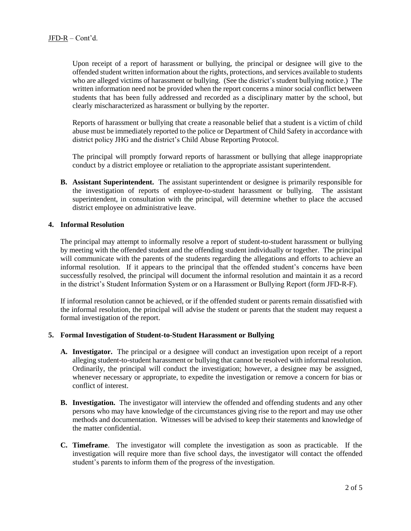Upon receipt of a report of harassment or bullying, the principal or designee will give to the offended student written information about the rights, protections, and services available to students who are alleged victims of harassment or bullying. (See the district's student bullying notice.) The written information need not be provided when the report concerns a minor social conflict between students that has been fully addressed and recorded as a disciplinary matter by the school, but clearly mischaracterized as harassment or bullying by the reporter.

Reports of harassment or bullying that create a reasonable belief that a student is a victim of child abuse must be immediately reported to the police or Department of Child Safety in accordance with district policy JHG and the district's Child Abuse Reporting Protocol.

The principal will promptly forward reports of harassment or bullying that allege inappropriate conduct by a district employee or retaliation to the appropriate assistant superintendent.

**B. Assistant Superintendent.** The assistant superintendent or designee is primarily responsible for the investigation of reports of employee-to-student harassment or bullying. The assistant superintendent, in consultation with the principal, will determine whether to place the accused district employee on administrative leave.

#### **4. Informal Resolution**

The principal may attempt to informally resolve a report of student-to-student harassment or bullying by meeting with the offended student and the offending student individually or together. The principal will communicate with the parents of the students regarding the allegations and efforts to achieve an informal resolution. If it appears to the principal that the offended student's concerns have been successfully resolved, the principal will document the informal resolution and maintain it as a record in the district's Student Information System or on a Harassment or Bullying Report (form JFD-R-F).

If informal resolution cannot be achieved, or if the offended student or parents remain dissatisfied with the informal resolution, the principal will advise the student or parents that the student may request a formal investigation of the report.

#### **5. Formal Investigation of Student-to-Student Harassment or Bullying**

- **A. Investigator.** The principal or a designee will conduct an investigation upon receipt of a report alleging student-to-student harassment or bullying that cannot be resolved with informal resolution. Ordinarily, the principal will conduct the investigation; however, a designee may be assigned, whenever necessary or appropriate, to expedite the investigation or remove a concern for bias or conflict of interest.
- **B. Investigation.** The investigator will interview the offended and offending students and any other persons who may have knowledge of the circumstances giving rise to the report and may use other methods and documentation. Witnesses will be advised to keep their statements and knowledge of the matter confidential.
- **C. Timeframe**. The investigator will complete the investigation as soon as practicable. If the investigation will require more than five school days, the investigator will contact the offended student's parents to inform them of the progress of the investigation.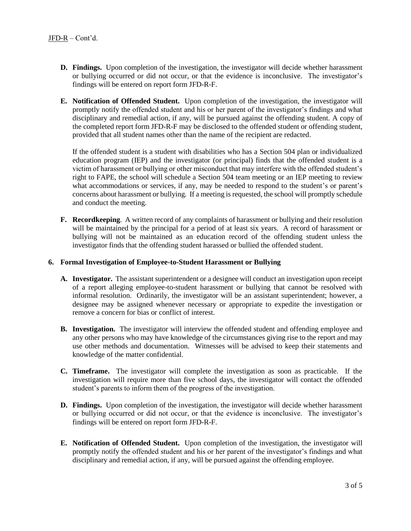- **D. Findings.** Upon completion of the investigation, the investigator will decide whether harassment or bullying occurred or did not occur, or that the evidence is inconclusive. The investigator's findings will be entered on report form JFD-R-F.
- **E. Notification of Offended Student.** Upon completion of the investigation, the investigator will promptly notify the offended student and his or her parent of the investigator's findings and what disciplinary and remedial action, if any, will be pursued against the offending student. A copy of the completed report form JFD-R-F may be disclosed to the offended student or offending student, provided that all student names other than the name of the recipient are redacted.

If the offended student is a student with disabilities who has a Section 504 plan or individualized education program (IEP) and the investigator (or principal) finds that the offended student is a victim of harassment or bullying or other misconduct that may interfere with the offended student's right to FAPE, the school will schedule a Section 504 team meeting or an IEP meeting to review what accommodations or services, if any, may be needed to respond to the student's or parent's concerns about harassment or bullying. If a meeting is requested, the school will promptly schedule and conduct the meeting.

**F. Recordkeeping**. A written record of any complaints of harassment or bullying and their resolution will be maintained by the principal for a period of at least six years. A record of harassment or bullying will not be maintained as an education record of the offending student unless the investigator finds that the offending student harassed or bullied the offended student.

#### **6. Formal Investigation of Employee-to-Student Harassment or Bullying**

- **A. Investigator.** The assistant superintendent or a designee will conduct an investigation upon receipt of a report alleging employee-to-student harassment or bullying that cannot be resolved with informal resolution. Ordinarily, the investigator will be an assistant superintendent; however, a designee may be assigned whenever necessary or appropriate to expedite the investigation or remove a concern for bias or conflict of interest.
- **B. Investigation.** The investigator will interview the offended student and offending employee and any other persons who may have knowledge of the circumstances giving rise to the report and may use other methods and documentation. Witnesses will be advised to keep their statements and knowledge of the matter confidential.
- **C. Timeframe.** The investigator will complete the investigation as soon as practicable. If the investigation will require more than five school days, the investigator will contact the offended student's parents to inform them of the progress of the investigation.
- **D. Findings.** Upon completion of the investigation, the investigator will decide whether harassment or bullying occurred or did not occur, or that the evidence is inconclusive. The investigator's findings will be entered on report form JFD-R-F.
- **E. Notification of Offended Student.** Upon completion of the investigation, the investigator will promptly notify the offended student and his or her parent of the investigator's findings and what disciplinary and remedial action, if any, will be pursued against the offending employee.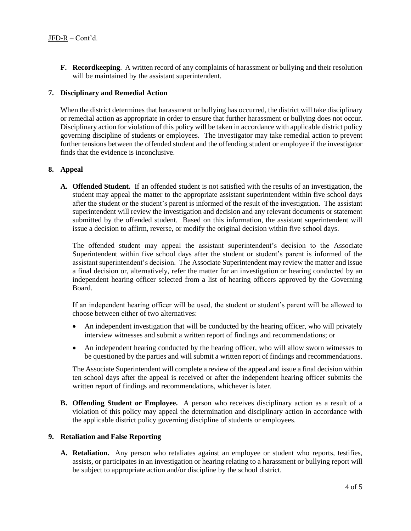**F. Recordkeeping**. A written record of any complaints of harassment or bullying and their resolution will be maintained by the assistant superintendent.

#### **7. Disciplinary and Remedial Action**

When the district determines that harassment or bullying has occurred, the district will take disciplinary or remedial action as appropriate in order to ensure that further harassment or bullying does not occur. Disciplinary action for violation of this policy will be taken in accordance with applicable district policy governing discipline of students or employees. The investigator may take remedial action to prevent further tensions between the offended student and the offending student or employee if the investigator finds that the evidence is inconclusive.

#### **8. Appeal**

**A. Offended Student.** If an offended student is not satisfied with the results of an investigation, the student may appeal the matter to the appropriate assistant superintendent within five school days after the student or the student's parent is informed of the result of the investigation. The assistant superintendent will review the investigation and decision and any relevant documents or statement submitted by the offended student. Based on this information, the assistant superintendent will issue a decision to affirm, reverse, or modify the original decision within five school days.

The offended student may appeal the assistant superintendent's decision to the Associate Superintendent within five school days after the student or student's parent is informed of the assistant superintendent's decision. The Associate Superintendent may review the matter and issue a final decision or, alternatively, refer the matter for an investigation or hearing conducted by an independent hearing officer selected from a list of hearing officers approved by the Governing Board.

If an independent hearing officer will be used, the student or student's parent will be allowed to choose between either of two alternatives:

- An independent investigation that will be conducted by the hearing officer, who will privately interview witnesses and submit a written report of findings and recommendations; or
- An independent hearing conducted by the hearing officer, who will allow sworn witnesses to be questioned by the parties and will submit a written report of findings and recommendations.

The Associate Superintendent will complete a review of the appeal and issue a final decision within ten school days after the appeal is received or after the independent hearing officer submits the written report of findings and recommendations, whichever is later.

**B. Offending Student or Employee.** A person who receives disciplinary action as a result of a violation of this policy may appeal the determination and disciplinary action in accordance with the applicable district policy governing discipline of students or employees.

## **9. Retaliation and False Reporting**

**A. Retaliation.** Any person who retaliates against an employee or student who reports, testifies, assists, or participates in an investigation or hearing relating to a harassment or bullying report will be subject to appropriate action and/or discipline by the school district.